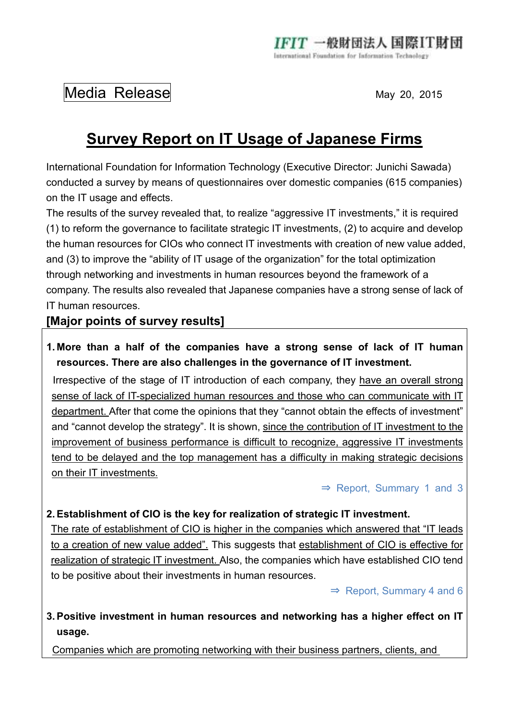# Media Release May 20, 2015

# **Survey Report on IT Usage of Japanese Firms**

International Foundation for Information Technology (Executive Director: Junichi Sawada) conducted a survey by means of questionnaires over domestic companies (615 companies) on the IT usage and effects.

The results of the survey revealed that, to realize "aggressive IT investments," it is required (1) to reform the governance to facilitate strategic IT investments, (2) to acquire and develop the human resources for CIOs who connect IT investments with creation of new value added, and (3) to improve the "ability of IT usage of the organization" for the total optimization through networking and investments in human resources beyond the framework of a company. The results also revealed that Japanese companies have a strong sense of lack of IT human resources.

## **[Major points of survey results]**

**1. More than a half of the companies have a strong sense of lack of IT human resources. There are also challenges in the governance of IT investment.** 

Irrespective of the stage of IT introduction of each company, they have an overall strong sense of lack of IT-specialized human resources and those who can communicate with IT department. After that come the opinions that they "cannot obtain the effects of investment" and "cannot develop the strategy". It is shown, since the contribution of IT investment to the improvement of business performance is difficult to recognize, aggressive IT investments tend to be delayed and the top management has a difficulty in making strategic decisions on their IT investments.

⇒ Report, Summary 1 and 3

#### **2. Establishment of CIO is the key for realization of strategic IT investment.**

The rate of establishment of CIO is higher in the companies which answered that "IT leads to a creation of new value added". This suggests that establishment of CIO is effective for realization of strategic IT investment. Also, the companies which have established CIO tend to be positive about their investments in human resources.

⇒ Report, Summary 4 and 6

### **3. Positive investment in human resources and networking has a higher effect on IT usage.**

Companies which are promoting networking with their business partners, clients, and